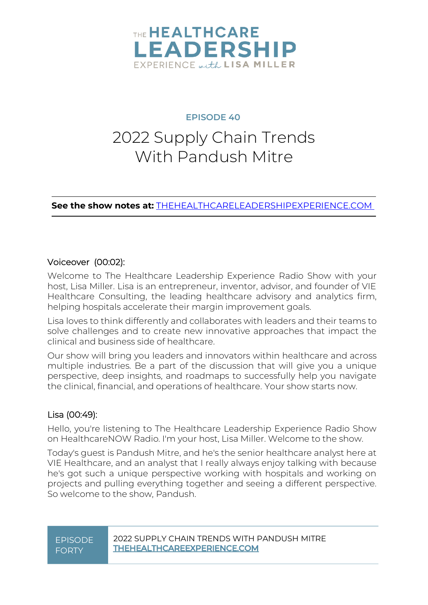

### **EPISODE 40**

### 2022 Supply Chain Trends With Pandush Mitre

**See the show notes at:** [THEHEALTHCARELEADERSHIPEXPERIENCE.COM](http://thehealthcareleadershipexperience.com/2022-trends-in-supply-chain-with-pandush-mitre-episode-40)

#### Voiceover (00:02):

Welcome to The Healthcare Leadership Experience Radio Show with your host, Lisa Miller. Lisa is an entrepreneur, inventor, advisor, and founder of VIE Healthcare Consulting, the leading healthcare advisory and analytics firm, helping hospitals accelerate their margin improvement goals.

Lisa loves to think differently and collaborates with leaders and their teams to solve challenges and to create new innovative approaches that impact the clinical and business side of healthcare.

Our show will bring you leaders and innovators within healthcare and across multiple industries. Be a part of the discussion that will give you a unique perspective, deep insights, and roadmaps to successfully help you navigate the clinical, financial, and operations of healthcare. Your show starts now.

#### Lisa (00:49):

Hello, you're listening to The Healthcare Leadership Experience Radio Show on HealthcareNOW Radio. I'm your host, Lisa Miller. Welcome to the show.

Today's guest is Pandush Mitre, and he's the senior healthcare analyst here at VIE Healthcare, and an analyst that I really always enjoy talking with because he's got such a unique perspective working with hospitals and working on projects and pulling everything together and seeing a different perspective. So welcome to the show, Pandush.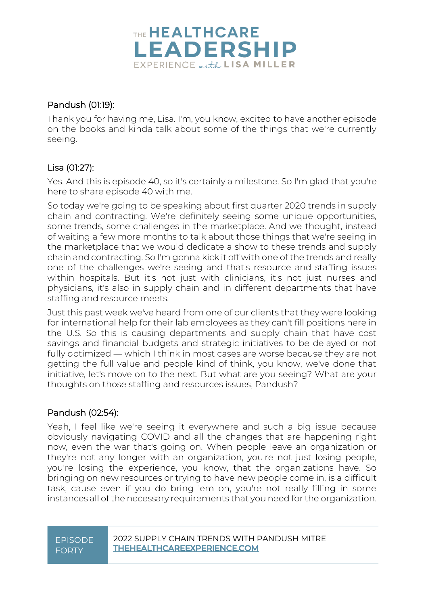

#### Pandush (01:19):

Thank you for having me, Lisa. I'm, you know, excited to have another episode on the books and kinda talk about some of the things that we're currently seeing.

#### Lisa (01:27):

Yes. And this is episode 40, so it's certainly a milestone. So I'm glad that you're here to share episode 40 with me.

So today we're going to be speaking about first quarter 2020 trends in supply chain and contracting. We're definitely seeing some unique opportunities, some trends, some challenges in the marketplace. And we thought, instead of waiting a few more months to talk about those things that we're seeing in the marketplace that we would dedicate a show to these trends and supply chain and contracting. So I'm gonna kick it off with one of the trends and really one of the challenges we're seeing and that's resource and staffing issues within hospitals. But it's not just with clinicians, it's not just nurses and physicians, it's also in supply chain and in different departments that have staffing and resource meets.

Just this past week we've heard from one of our clients that they were looking for international help for their lab employees as they can't fill positions here in the U.S. So this is causing departments and supply chain that have cost savings and financial budgets and strategic initiatives to be delayed or not fully optimized — which I think in most cases are worse because they are not getting the full value and people kind of think, you know, we've done that initiative, let's move on to the next. But what are you seeing? What are your thoughts on those staffing and resources issues, Pandush?

#### Pandush (02:54):

Yeah, I feel like we're seeing it everywhere and such a big issue because obviously navigating COVID and all the changes that are happening right now, even the war that's going on. When people leave an organization or they're not any longer with an organization, you're not just losing people, you're losing the experience, you know, that the organizations have. So bringing on new resources or trying to have new people come in, is a difficult task, cause even if you do bring 'em on, you're not really filling in some instances all of the necessary requirements that you need for the organization.

## FORTY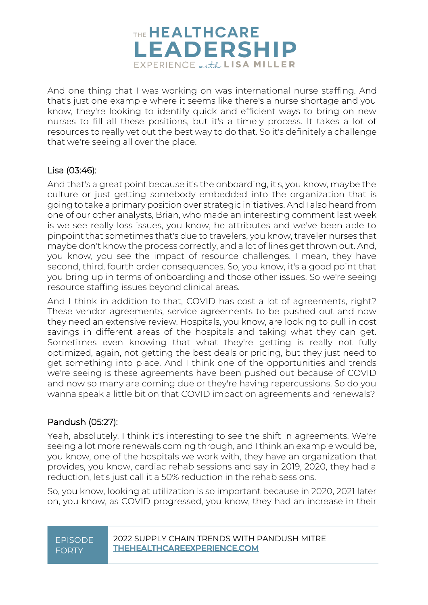

And one thing that I was working on was international nurse staffing. And that's just one example where it seems like there's a nurse shortage and you know, they're looking to identify quick and efficient ways to bring on new nurses to fill all these positions, but it's a timely process. It takes a lot of resources to really vet out the best way to do that. So it's definitely a challenge that we're seeing all over the place.

#### Lisa (03:46):

And that's a great point because it's the onboarding, it's, you know, maybe the culture or just getting somebody embedded into the organization that is going to take a primary position over strategic initiatives. And I also heard from one of our other analysts, Brian, who made an interesting comment last week is we see really loss issues, you know, he attributes and we've been able to pinpoint that sometimes that's due to travelers, you know, traveler nurses that maybe don't know the process correctly, and a lot of lines get thrown out. And, you know, you see the impact of resource challenges. I mean, they have second, third, fourth order consequences. So, you know, it's a good point that you bring up in terms of onboarding and those other issues. So we're seeing resource staffing issues beyond clinical areas.

And I think in addition to that, COVID has cost a lot of agreements, right? These vendor agreements, service agreements to be pushed out and now they need an extensive review. Hospitals, you know, are looking to pull in cost savings in different areas of the hospitals and taking what they can get. Sometimes even knowing that what they're getting is really not fully optimized, again, not getting the best deals or pricing, but they just need to get something into place. And I think one of the opportunities and trends we're seeing is these agreements have been pushed out because of COVID and now so many are coming due or they're having repercussions. So do you wanna speak a little bit on that COVID impact on agreements and renewals?

#### Pandush (05:27):

Yeah, absolutely. I think it's interesting to see the shift in agreements. We're seeing a lot more renewals coming through, and I think an example would be, you know, one of the hospitals we work with, they have an organization that provides, you know, cardiac rehab sessions and say in 2019, 2020, they had a reduction, let's just call it a 50% reduction in the rehab sessions.

So, you know, looking at utilization is so important because in 2020, 2021 later on, you know, as COVID progressed, you know, they had an increase in their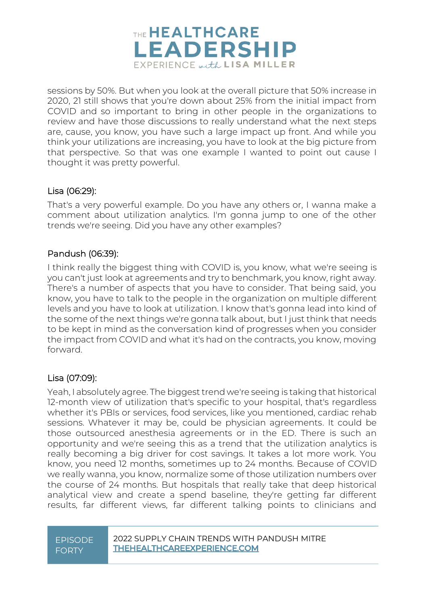

sessions by 50%. But when you look at the overall picture that 50% increase in 2020, 21 still shows that you're down about 25% from the initial impact from COVID and so important to bring in other people in the organizations to review and have those discussions to really understand what the next steps are, cause, you know, you have such a large impact up front. And while you think your utilizations are increasing, you have to look at the big picture from that perspective. So that was one example I wanted to point out cause I thought it was pretty powerful.

#### Lisa (06:29):

That's a very powerful example. Do you have any others or, I wanna make a comment about utilization analytics. I'm gonna jump to one of the other trends we're seeing. Did you have any other examples?

#### Pandush (06:39):

I think really the biggest thing with COVID is, you know, what we're seeing is you can't just look at agreements and try to benchmark, you know, right away. There's a number of aspects that you have to consider. That being said, you know, you have to talk to the people in the organization on multiple different levels and you have to look at utilization. I know that's gonna lead into kind of the some of the next things we're gonna talk about, but I just think that needs to be kept in mind as the conversation kind of progresses when you consider the impact from COVID and what it's had on the contracts, you know, moving forward.

#### Lisa (07:09):

Yeah, I absolutely agree. The biggest trend we're seeing is taking that historical 12-month view of utilization that's specific to your hospital, that's regardless whether it's PBIs or services, food services, like you mentioned, cardiac rehab sessions. Whatever it may be, could be physician agreements. It could be those outsourced anesthesia agreements or in the ED. There is such an opportunity and we're seeing this as a trend that the utilization analytics is really becoming a big driver for cost savings. It takes a lot more work. You know, you need 12 months, sometimes up to 24 months. Because of COVID we really wanna, you know, normalize some of those utilization numbers over the course of 24 months. But hospitals that really take that deep historical analytical view and create a spend baseline, they're getting far different results, far different views, far different talking points to clinicians and

## FORTY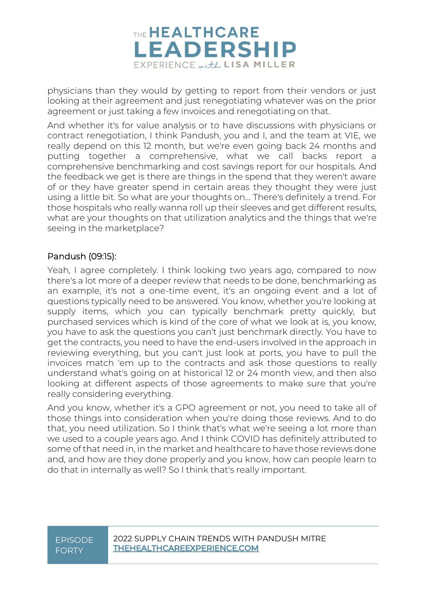

physicians than they would by getting to report from their vendors or just looking at their agreement and just renegotiating whatever was on the prior agreement or just taking a few invoices and renegotiating on that.

And whether it's for value analysis or to have discussions with physicians or contract renegotiation, I think Pandush, you and I, and the team at VIE, we really depend on this 12 month, but we're even going back 24 months and putting together a comprehensive, what we call backs report a comprehensive benchmarking and cost savings report for our hospitals. And the feedback we get is there are things in the spend that they weren't aware of or they have greater spend in certain areas they thought they were just using a little bit. So what are your thoughts on... There's definitely a trend. For those hospitals who really wanna roll up their sleeves and get different results, what are your thoughts on that utilization analytics and the things that we're seeing in the marketplace?

#### Pandush (09:15):

Yeah, I agree completely. I think looking two years ago, compared to now there's a lot more of a deeper review that needs to be done, benchmarking as an example, it's not a one-time event, it's an ongoing event and a lot of questions typically need to be answered. You know, whether you're looking at supply items, which you can typically benchmark pretty quickly, but purchased services which is kind of the core of what we look at is, you know, you have to ask the questions you can't just benchmark directly. You have to get the contracts, you need to have the end-users involved in the approach in reviewing everything, but you can't just look at ports, you have to pull the invoices match 'em up to the contracts and ask those questions to really understand what's going on at historical 12 or 24 month view, and then also looking at different aspects of those agreements to make sure that you're really considering everything.

And you know, whether it's a GPO agreement or not, you need to take all of those things into consideration when you're doing those reviews. And to do that, you need utilization. So I think that's what we're seeing a lot more than we used to a couple years ago. And I think COVID has definitely attributed to some of that need in, in the market and healthcare to have those reviews done and, and how are they done properly and you know, how can people learn to do that in internally as well? So I think that's really important.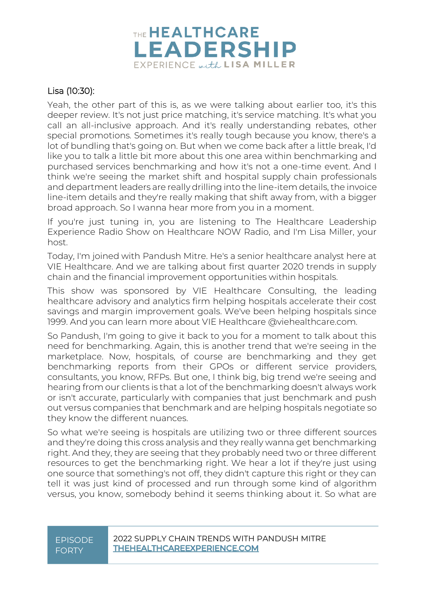

#### Lisa (10:30):

Yeah, the other part of this is, as we were talking about earlier too, it's this deeper review. It's not just price matching, it's service matching. It's what you call an all-inclusive approach. And it's really understanding rebates, other special promotions. Sometimes it's really tough because you know, there's a lot of bundling that's going on. But when we come back after a little break, I'd like you to talk a little bit more about this one area within benchmarking and purchased services benchmarking and how it's not a one-time event. And I think we're seeing the market shift and hospital supply chain professionals and department leaders are really drilling into the line-item details, the invoice line-item details and they're really making that shift away from, with a bigger broad approach. So I wanna hear more from you in a moment.

If you're just tuning in, you are listening to The Healthcare Leadership Experience Radio Show on Healthcare NOW Radio, and I'm Lisa Miller, your host.

Today, I'm joined with Pandush Mitre. He's a senior healthcare analyst here at VIE Healthcare. And we are talking about first quarter 2020 trends in supply chain and the financial improvement opportunities within hospitals.

This show was sponsored by VIE Healthcare Consulting, the leading healthcare advisory and analytics firm helping hospitals accelerate their cost savings and margin improvement goals. We've been helping hospitals since 1999. And you can learn more about VIE Healthcare @viehealthcare.com.

So Pandush, I'm going to give it back to you for a moment to talk about this need for benchmarking. Again, this is another trend that we're seeing in the marketplace. Now, hospitals, of course are benchmarking and they get benchmarking reports from their GPOs or different service providers, consultants, you know, RFPs. But one, I think big, big trend we're seeing and hearing from our clients is that a lot of the benchmarking doesn't always work or isn't accurate, particularly with companies that just benchmark and push out versus companies that benchmark and are helping hospitals negotiate so they know the different nuances.

So what we're seeing is hospitals are utilizing two or three different sources and they're doing this cross analysis and they really wanna get benchmarking right. And they, they are seeing that they probably need two or three different resources to get the benchmarking right. We hear a lot if they're just using one source that something's not off, they didn't capture this right or they can tell it was just kind of processed and run through some kind of algorithm versus, you know, somebody behind it seems thinking about it. So what are

## FORTY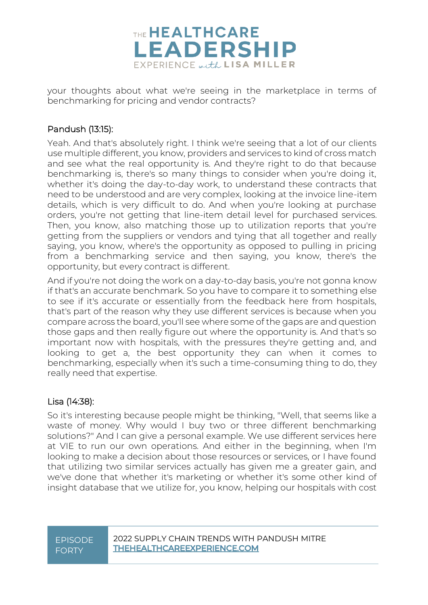

your thoughts about what we're seeing in the marketplace in terms of benchmarking for pricing and vendor contracts?

#### Pandush (13:15):

Yeah. And that's absolutely right. I think we're seeing that a lot of our clients use multiple different, you know, providers and services to kind of cross match and see what the real opportunity is. And they're right to do that because benchmarking is, there's so many things to consider when you're doing it, whether it's doing the day-to-day work, to understand these contracts that need to be understood and are very complex, looking at the invoice line-item details, which is very difficult to do. And when you're looking at purchase orders, you're not getting that line-item detail level for purchased services. Then, you know, also matching those up to utilization reports that you're getting from the suppliers or vendors and tying that all together and really saying, you know, where's the opportunity as opposed to pulling in pricing from a benchmarking service and then saying, you know, there's the opportunity, but every contract is different.

And if you're not doing the work on a day-to-day basis, you're not gonna know if that's an accurate benchmark. So you have to compare it to something else to see if it's accurate or essentially from the feedback here from hospitals, that's part of the reason why they use different services is because when you compare across the board, you'll see where some of the gaps are and question those gaps and then really figure out where the opportunity is. And that's so important now with hospitals, with the pressures they're getting and, and looking to get a, the best opportunity they can when it comes to benchmarking, especially when it's such a time-consuming thing to do, they really need that expertise.

#### Lisa (14:38):

So it's interesting because people might be thinking, "Well, that seems like a waste of money. Why would I buy two or three different benchmarking solutions?" And I can give a personal example. We use different services here at VIE to run our own operations. And either in the beginning, when I'm looking to make a decision about those resources or services, or I have found that utilizing two similar services actually has given me a greater gain, and we've done that whether it's marketing or whether it's some other kind of insight database that we utilize for, you know, helping our hospitals with cost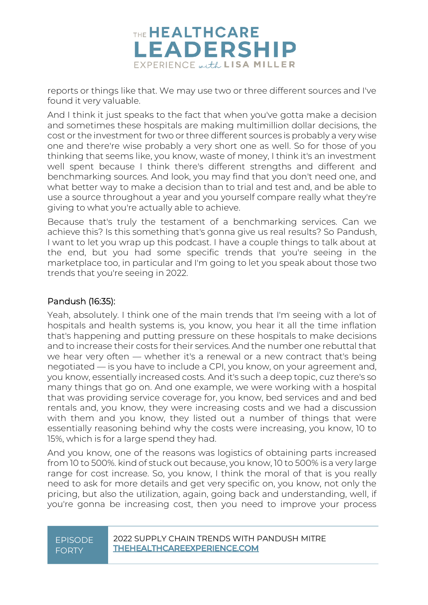

reports or things like that. We may use two or three different sources and I've found it very valuable.

And I think it just speaks to the fact that when you've gotta make a decision and sometimes these hospitals are making multimillion dollar decisions, the cost or the investment for two or three different sources is probably a very wise one and there're wise probably a very short one as well. So for those of you thinking that seems like, you know, waste of money, I think it's an investment well spent because I think there's different strengths and different and benchmarking sources. And look, you may find that you don't need one, and what better way to make a decision than to trial and test and, and be able to use a source throughout a year and you yourself compare really what they're giving to what you're actually able to achieve.

Because that's truly the testament of a benchmarking services. Can we achieve this? Is this something that's gonna give us real results? So Pandush, I want to let you wrap up this podcast. I have a couple things to talk about at the end, but you had some specific trends that you're seeing in the marketplace too, in particular and I'm going to let you speak about those two trends that you're seeing in 2022.

#### Pandush (16:35):

Yeah, absolutely. I think one of the main trends that I'm seeing with a lot of hospitals and health systems is, you know, you hear it all the time inflation that's happening and putting pressure on these hospitals to make decisions and to increase their costs for their services. And the number one rebuttal that we hear very often — whether it's a renewal or a new contract that's being negotiated — is you have to include a CPI, you know, on your agreement and, you know, essentially increased costs. And it's such a deep topic, cuz there's so many things that go on. And one example, we were working with a hospital that was providing service coverage for, you know, bed services and and bed rentals and, you know, they were increasing costs and we had a discussion with them and you know, they listed out a number of things that were essentially reasoning behind why the costs were increasing, you know, 10 to 15%, which is for a large spend they had.

And you know, one of the reasons was logistics of obtaining parts increased from 10 to 500%. kind of stuck out because, you know, 10 to 500% is a very large range for cost increase. So, you know, I think the moral of that is you really need to ask for more details and get very specific on, you know, not only the pricing, but also the utilization, again, going back and understanding, well, if you're gonna be increasing cost, then you need to improve your process

## FORTY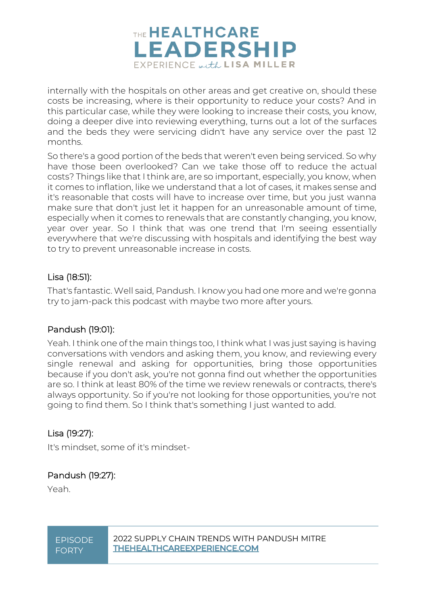

internally with the hospitals on other areas and get creative on, should these costs be increasing, where is their opportunity to reduce your costs? And in this particular case, while they were looking to increase their costs, you know, doing a deeper dive into reviewing everything, turns out a lot of the surfaces and the beds they were servicing didn't have any service over the past 12 months.

So there's a good portion of the beds that weren't even being serviced. So why have those been overlooked? Can we take those off to reduce the actual costs? Things like that I think are, are so important, especially, you know, when it comes to inflation, like we understand that a lot of cases, it makes sense and it's reasonable that costs will have to increase over time, but you just wanna make sure that don't just let it happen for an unreasonable amount of time, especially when it comes to renewals that are constantly changing, you know, year over year. So I think that was one trend that I'm seeing essentially everywhere that we're discussing with hospitals and identifying the best way to try to prevent unreasonable increase in costs.

#### Lisa (18:51):

That's fantastic. Well said, Pandush. I know you had one more and we're gonna try to jam-pack this podcast with maybe two more after yours.

#### Pandush (19:01):

Yeah. I think one of the main things too, I think what I was just saying is having conversations with vendors and asking them, you know, and reviewing every single renewal and asking for opportunities, bring those opportunities because if you don't ask, you're not gonna find out whether the opportunities are so. I think at least 80% of the time we review renewals or contracts, there's always opportunity. So if you're not looking for those opportunities, you're not going to find them. So I think that's something I just wanted to add.

#### Lisa (19:27):

It's mindset, some of it's mindset-

#### Pandush (19:27):

Yeah.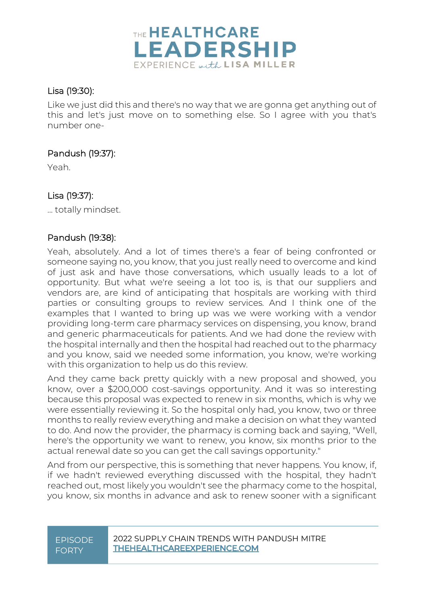

#### Lisa (19:30):

Like we just did this and there's no way that we are gonna get anything out of this and let's just move on to something else. So I agree with you that's number one-

#### Pandush (19:37):

Yeah.

#### Lisa (19:37):

... totally mindset.

#### Pandush (19:38):

Yeah, absolutely. And a lot of times there's a fear of being confronted or someone saying no, you know, that you just really need to overcome and kind of just ask and have those conversations, which usually leads to a lot of opportunity. But what we're seeing a lot too is, is that our suppliers and vendors are, are kind of anticipating that hospitals are working with third parties or consulting groups to review services. And I think one of the examples that I wanted to bring up was we were working with a vendor providing long-term care pharmacy services on dispensing, you know, brand and generic pharmaceuticals for patients. And we had done the review with the hospital internally and then the hospital had reached out to the pharmacy and you know, said we needed some information, you know, we're working with this organization to help us do this review.

And they came back pretty quickly with a new proposal and showed, you know, over a \$200,000 cost-savings opportunity. And it was so interesting because this proposal was expected to renew in six months, which is why we were essentially reviewing it. So the hospital only had, you know, two or three months to really review everything and make a decision on what they wanted to do. And now the provider, the pharmacy is coming back and saying, "Well, here's the opportunity we want to renew, you know, six months prior to the actual renewal date so you can get the call savings opportunity."

And from our perspective, this is something that never happens. You know, if, if we hadn't reviewed everything discussed with the hospital, they hadn't reached out, most likely you wouldn't see the pharmacy come to the hospital, you know, six months in advance and ask to renew sooner with a significant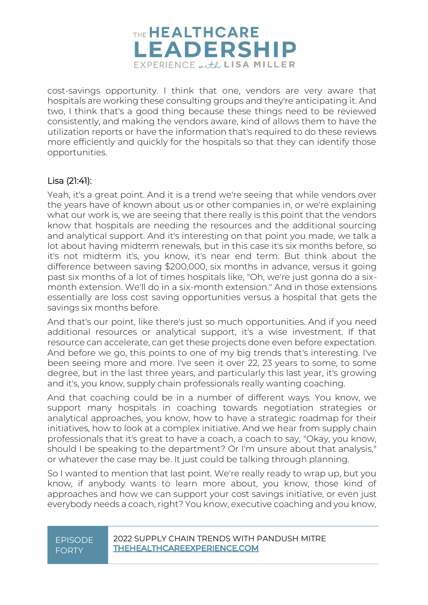

cost-savings opportunity. I think that one, vendors are very aware that hospitals are working these consulting groups and they're anticipating it. And two, I think that's a good thing because these things need to be reviewed consistently, and making the vendors aware, kind of allows them to have the utilization reports or have the information that's required to do these reviews more efficiently and quickly for the hospitals so that they can identify those opportunities.

#### Lisa (21:41):

Yeah, it's a great point. And it is a trend we're seeing that while vendors over the years have of known about us or other companies in, or we're explaining what our work is, we are seeing that there really is this point that the vendors know that hospitals are needing the resources and the additional sourcing and analytical support. And it's interesting on that point you made, we talk a lot about having midterm renewals, but in this case it's six months before, so it's not midterm it's, you know, it's near end term. But think about the difference between saving \$200,000, six months in advance, versus it going past six months of a lot of times hospitals like, "Oh, we're just gonna do a sixmonth extension. We'll do in a six-month extension." And in those extensions essentially are loss cost saving opportunities versus a hospital that gets the savings six months before.

And that's our point, like there's just so much opportunities. And if you need additional resources or analytical support, it's a wise investment. If that resource can accelerate, can get these projects done even before expectation. And before we go, this points to one of my big trends that's interesting. I've been seeing more and more. I've seen it over 22, 23 years to some, to some degree, but in the last three years, and particularly this last year, it's growing and it's, you know, supply chain professionals really wanting coaching.

And that coaching could be in a number of different ways. You know, we support many hospitals in coaching towards negotiation strategies or analytical approaches, you know, how to have a strategic roadmap for their initiatives, how to look at a complex initiative. And we hear from supply chain professionals that it's great to have a coach, a coach to say, "Okay, you know, should I be speaking to the department? Or I'm unsure about that analysis," or whatever the case may be. It just could be talking through planning.

So I wanted to mention that last point. We're really ready to wrap up, but you know, if anybody wants to learn more about, you know, those kind of approaches and how we can support your cost savings initiative, or even just everybody needs a coach, right? You know, executive coaching and you know,

## FORTY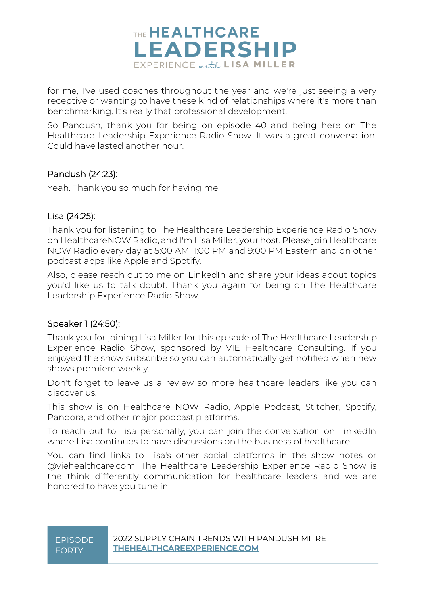

for me, I've used coaches throughout the year and we're just seeing a very receptive or wanting to have these kind of relationships where it's more than benchmarking. It's really that professional development.

So Pandush, thank you for being on episode 40 and being here on The Healthcare Leadership Experience Radio Show. It was a great conversation. Could have lasted another hour.

#### Pandush (24:23):

Yeah. Thank you so much for having me.

#### Lisa (24:25):

Thank you for listening to The Healthcare Leadership Experience Radio Show on HealthcareNOW Radio, and I'm Lisa Miller, your host. Please join Healthcare NOW Radio every day at 5:00 AM, 1:00 PM and 9:00 PM Eastern and on other podcast apps like Apple and Spotify.

Also, please reach out to me on LinkedIn and share your ideas about topics you'd like us to talk doubt. Thank you again for being on The Healthcare Leadership Experience Radio Show.

#### Speaker 1 (24:50):

Thank you for joining Lisa Miller for this episode of The Healthcare Leadership Experience Radio Show, sponsored by VIE Healthcare Consulting. If you enjoyed the show subscribe so you can automatically get notified when new shows premiere weekly.

Don't forget to leave us a review so more healthcare leaders like you can discover us.

This show is on Healthcare NOW Radio, Apple Podcast, Stitcher, Spotify, Pandora, and other major podcast platforms.

To reach out to Lisa personally, you can join the conversation on LinkedIn where Lisa continues to have discussions on the business of healthcare.

You can find links to Lisa's other social platforms in the show notes or @viehealthcare.com. The Healthcare Leadership Experience Radio Show is the think differently communication for healthcare leaders and we are honored to have you tune in.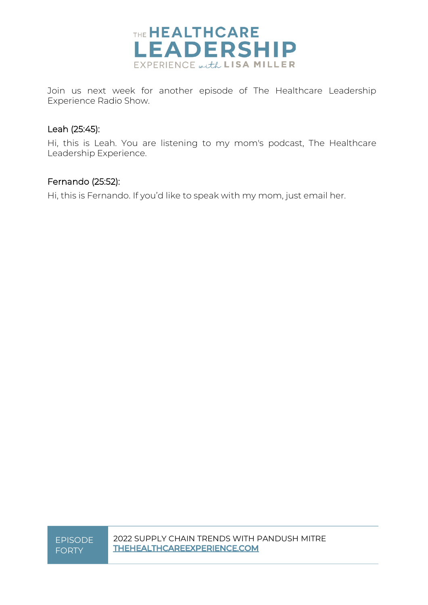

Join us next week for another episode of The Healthcare Leadership Experience Radio Show.

#### Leah (25:45):

Hi, this is Leah. You are listening to my mom's podcast, The Healthcare Leadership Experience.

#### Fernando (25:52):

Hi, this is Fernando. If you'd like to speak with my mom, just email her.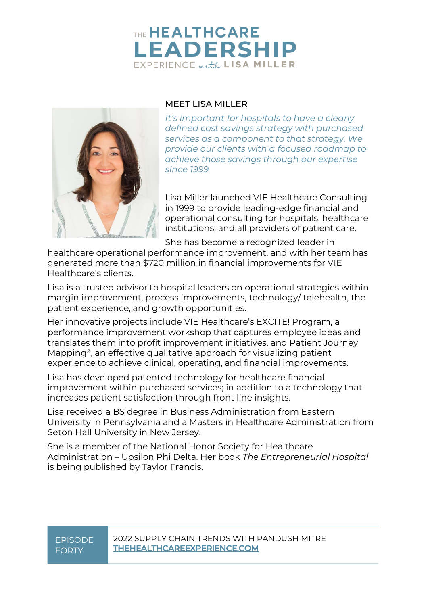### THE HEALTHCARE **LEADERSHIP** EXPERIENCE with LISA MILLER



#### MEET LISA MILLER

*It's important for hospitals to have a clearly defined cost savings strategy with purchased services as a component to that strategy. We provide our clients with a focused roadmap to achieve those savings through our expertise since 1999*

Lisa Miller launched VIE Healthcare Consulting in 1999 to provide leading-edge financial and operational consulting for hospitals, healthcare institutions, and all providers of patient care.

She has become a recognized leader in

healthcare operational performance improvement, and with her team has generated more than \$720 million in financial improvements for VIE Healthcare's clients.

Lisa is a trusted advisor to hospital leaders on operational strategies within margin improvement, process improvements, technology/ telehealth, the patient experience, and growth opportunities.

Her innovative projects include VIE Healthcare's EXCITE! Program, a performance improvement workshop that captures employee ideas and translates them into profit improvement initiatives, and Patient Journey Mapping®, an effective qualitative approach for visualizing patient experience to achieve clinical, operating, and financial improvements.

Lisa has developed patented technology for healthcare financial improvement within purchased services; in addition to a technology that increases patient satisfaction through front line insights.

Lisa received a BS degree in Business Administration from Eastern University in Pennsylvania and a Masters in Healthcare Administration from Seton Hall University in New Jersey.

She is a member of the National Honor Society for Healthcare Administration – Upsilon Phi Delta. Her book *The Entrepreneurial Hospital* is being published by Taylor Francis.

# FORTY